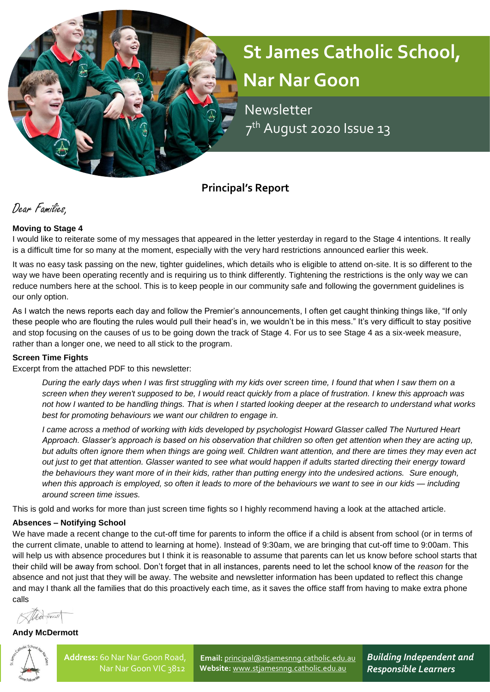# **St James Catholic School, Nar Nar Goon**

 Newsletter **12 2 7** 7<sup>th</sup> August 2020 Issue 13

**Principal's Report**

Dear Families,

# **Moving to Stage 4**

I would like to reiterate some of my messages that appeared in the letter yesterday in regard to the Stage 4 intentions. It really is a difficult time for so many at the moment, especially with the very hard restrictions announced earlier this week.

It was no easy task passing on the new, tighter guidelines, which details who is eligible to attend on-site. It is so different to the way we have been operating recently and is requiring us to think differently. Tightening the restrictions is the only way we can reduce numbers here at the school. This is to keep people in our community safe and following the government guidelines is our only option.

As I watch the news reports each day and follow the Premier's announcements, I often get caught thinking things like, "If only these people who are flouting the rules would pull their head's in, we wouldn't be in this mess." It's very difficult to stay positive and stop focusing on the causes of us to be going down the track of Stage 4. For us to see Stage 4 as a six-week measure, rather than a longer one, we need to all stick to the program.

#### **Screen Time Fights**

Excerpt from the attached PDF to this newsletter:

*During the early days when I was first struggling with my kids over screen time, I found that when I saw them on a screen when they weren't supposed to be, I would react quickly from a place of frustration. I knew this approach was not how I wanted to be handling things. That is when I started looking deeper at the research to understand what works best for promoting behaviours we want our children to engage in.*

*I came across a method of working with kids developed by psychologist Howard Glasser called The Nurtured Heart Approach. Glasser's approach is based on his observation that children so often get attention when they are acting up, but adults often ignore them when things are going well. Children want attention, and there are times they may even act out just to get that attention. Glasser wanted to see what would happen if adults started directing their energy toward the behaviours they want more of in their kids, rather than putting energy into the undesired actions. Sure enough, when this approach is employed, so often it leads to more of the behaviours we want to see in our kids — including around screen time issues.*

This is gold and works for more than just screen time fights so I highly recommend having a look at the attached article.

#### **Absences – Notifying School**

We have made a recent change to the cut-off time for parents to inform the office if a child is absent from school (or in terms of the current climate, unable to attend to learning at home). Instead of 9:30am, we are bringing that cut-off time to 9:00am. This will help us with absence procedures but I think it is reasonable to assume that parents can let us know before school starts that their child will be away from school. Don't forget that in all instances, parents need to let the school know of the *reason* for the absence and not just that they will be away. The website and newsletter information has been updated to reflect this change and may I thank all the families that do this proactively each time, as it saves the office staff from having to make extra phone calls

Alta oma

**Andy McDermott**



**Email:** [principal@stjamesnng.catholic.edu.au](mailto:principal@stjamesnng.catholic.edu.au) **Website:** [www.stjamesnng.catholic.edu.au](http://www.stjamesnng.catholic.edu.au/)

*Building Independent and Responsible Learners*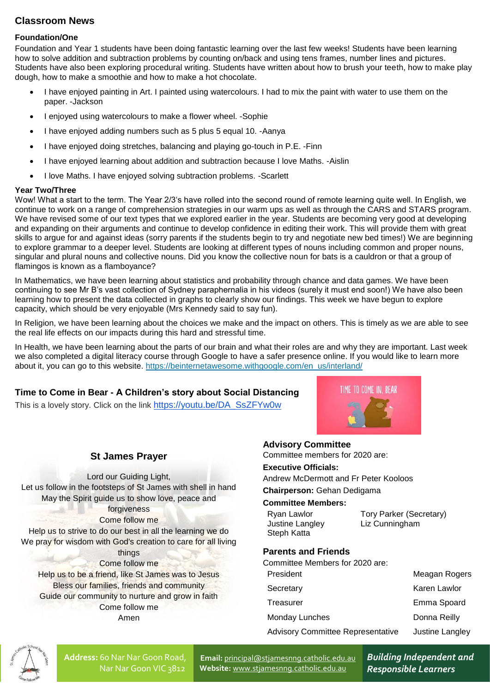# **Classroom News**

#### **Foundation/One**

Foundation and Year 1 students have been doing fantastic learning over the last few weeks! Students have been learning how to solve addition and subtraction problems by counting on/back and using tens frames, number lines and pictures. Students have also been exploring procedural writing. Students have written about how to brush your teeth, how to make play dough, how to make a smoothie and how to make a hot chocolate.

- I have enjoyed painting in Art. I painted using watercolours. I had to mix the paint with water to use them on the paper. -Jackson
- I enjoyed using watercolours to make a flower wheel. -Sophie
- I have enjoyed adding numbers such as 5 plus 5 equal 10. -Aanya
- I have enjoyed doing stretches, balancing and playing go-touch in P.E. -Finn
- I have enjoyed learning about addition and subtraction because I love Maths. -Aislin
- I love Maths. I have enjoyed solving subtraction problems. -Scarlett

#### **Year Two/Three**

Wow! What a start to the term. The Year 2/3's have rolled into the second round of remote learning quite well. In English, we continue to work on a range of comprehension strategies in our warm ups as well as through the CARS and STARS program. We have revised some of our text types that we explored earlier in the year. Students are becoming very good at developing and expanding on their arguments and continue to develop confidence in editing their work. This will provide them with great skills to argue for and against ideas (sorry parents if the students begin to try and negotiate new bed times!) We are beginning to explore grammar to a deeper level. Students are looking at different types of nouns including common and proper nouns, singular and plural nouns and collective nouns. Did you know the collective noun for bats is a cauldron or that a group of flamingos is known as a flamboyance?

In Mathematics, we have been learning about statistics and probability through chance and data games. We have been continuing to see Mr B's vast collection of Sydney paraphernalia in his videos (surely it must end soon!) We have also been learning how to present the data collected in graphs to clearly show our findings. This week we have begun to explore capacity, which should be very enjoyable (Mrs Kennedy said to say fun).

In Religion, we have been learning about the choices we make and the impact on others. This is timely as we are able to see the real life effects on our impacts during this hard and stressful time.

In Health, we have been learning about the parts of our brain and what their roles are and why they are important. Last week we also completed a digital literacy course through Google to have a safer presence online. If you would like to learn more about it, you can go to this website. [https://beinternetawesome.withgoogle.com/en\\_us/interland/](https://beinternetawesome.withgoogle.com/en_us/interland/)

#### **Time to Come in Bear - A Children's story about Social Distancing**

This is a lovely story. Click on the link [https://youtu.be/DA\\_SsZFYw0w](https://youtu.be/DA_SsZFYw0w)

# TIME TO COME IN REAR

# **St James Prayer**

Lord our Guiding Light, Let us follow in the footsteps of St James with shell in hand May the Spirit guide us to show love, peace and forgiveness Come follow me Help us to strive to do our best in all the learning we do We pray for wisdom with God's creation to care for all living things Come follow me Help us to be a friend, like St James was to Jesus Bless our families, friends and community Guide our community to nurture and grow in faith Come follow me

Amen

# **Advisory Committee**

Committee members for 2020 are:

#### **Executive Officials:**

Andrew McDermott and Fr Peter Kooloos

#### **Chairperson:** Gehan Dedigama

#### **Committee Members:**

| Ryan Lawlor     | Tory Parker (Secretary) |
|-----------------|-------------------------|
| Justine Langley | Liz Cunningham          |
| Steph Katta     |                         |

# **Parents and Friends**

Committee Members for 2020 are:

| President                                | Meagan Rogers   |  |
|------------------------------------------|-----------------|--|
| Secretary                                | Karen Lawlor    |  |
| Treasurer                                | Emma Spoard     |  |
| Monday Lunches                           | Donna Reilly    |  |
| <b>Advisory Committee Representative</b> | Justine Langley |  |
|                                          |                 |  |



**Address:** 60 Nar Nar Goon Road, Nar Nar Goon VIC 3812

**Email:** [principal@stjamesnng.catholic.edu.au](mailto:principal@stjamesnng.catholic.edu.au) **Website:** [www.stjamesnng.catholic.edu.au](http://www.stjamesnng.catholic.edu.au/)

*Building Independent and Responsible Learners*